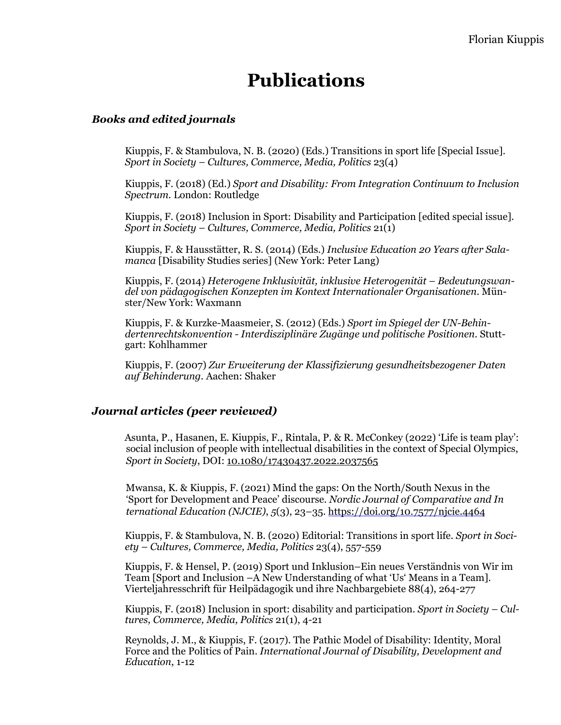# **Publications**

#### *Books and edited journals*

Kiuppis, F. & Stambulova, N. B. (2020) (Eds.) Transitions in sport life [Special Issue]. *Sport in Society – Cultures, Commerce, Media, Politics* 23(4)

Kiuppis, F. (2018) (Ed.) *Sport and Disability: From Integration Continuum to Inclusion Spectrum.* London: Routledge

Kiuppis, F. (2018) Inclusion in Sport: Disability and Participation [edited special issue]. *Sport in Society – Cultures, Commerce, Media, Politics* 21(1)

Kiuppis, F. & Hausstätter, R. S. (2014) (Eds.) *Inclusive Education 20 Years after Salamanca* [Disability Studies series] (New York: Peter Lang)

Kiuppis, F. (2014) *Heterogene Inklusivität, inklusive Heterogenität – Bedeutungswandel von pädagogischen Konzepten im Kontext Internationaler Organisationen*. Münster/New York: Waxmann

Kiuppis, F. & Kurzke-Maasmeier, S. (2012) (Eds.) *Sport im Spiegel der UN-Behindertenrechtskonvention - Interdisziplinäre Zugänge und politische Positionen*. Stuttgart: Kohlhammer

Kiuppis, F. (2007) *Zur Erweiterung der Klassifizierung gesundheitsbezogener Daten auf Behinderung.* Aachen: Shaker

#### *Journal articles (peer reviewed)*

 Asunta, P., Hasanen, E. Kiuppis, F., Rintala, P. & R. McConkey (2022) 'Life is team play': social inclusion of people with intellectual disabilities in the context of Special Olympics, *Sport in Society*, DOI: [10.1080/17430437.2022.2037565](https://doi.org/10.1080/17430437.2022.2037565)

 Mwansa, K. & Kiuppis, F. (2021) Mind the gaps: On the North/South Nexus in the 'Sport for Development and Peace' discourse. *Nordic Journal of Comparative and In ternational Education (NJCIE)*, *5*(3), 23–35.<https://doi.org/10.7577/njcie.4464>

Kiuppis, F. & Stambulova, N. B. (2020) Editorial: Transitions in sport life. *Sport in Society – Cultures, Commerce, Media, Politics* 23(4), 557-559

Kiuppis, F. & Hensel, P. (2019) Sport und Inklusion–Ein neues Verständnis von Wir im Team [Sport and Inclusion –A New Understanding of what 'Us' Means in a Team]. Vierteljahresschrift für Heilpädagogik und ihre Nachbargebiete 88(4), 264-277

Kiuppis, F. (2018) Inclusion in sport: disability and participation. *Sport in Society – Cultures, Commerce, Media, Politics* 21(1), 4-21

Reynolds, J. M., & Kiuppis, F. (2017). The Pathic Model of Disability: Identity, Moral Force and the Politics of Pain. *International Journal of Disability, Development and Education*, 1-12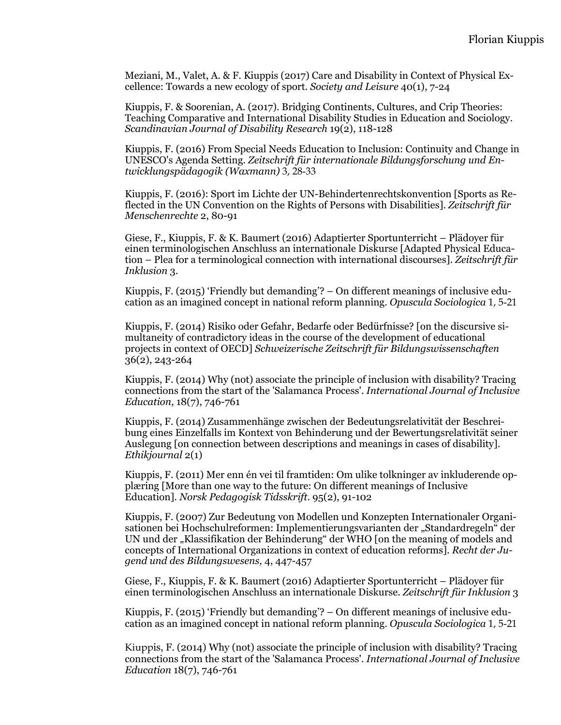Meziani, M., Valet, A. & F. Kiuppis (2017) Care and Disability in Context of Physical Excellence: Towards a new ecology of sport. *Society and Leisure* 40(1), 7-24

Kiuppis, F. & Soorenian, A. (2017). Bridging Continents, Cultures, and Crip Theories: Teaching Comparative and International Disability Studies in Education and Sociology. *Scandinavian Journal of Disability Research* 19(2), 118-128

Kiuppis, F. (2016) From Special Needs Education to Inclusion: Continuity and Change in UNESCO's Agenda Setting. *Zeitschrift für internationale Bildungsforschung und Entwicklungspädagogik (Waxmann)* 3, 28-33

Kiuppis, F. (2016): Sport im Lichte der UN-Behindertenrechtskonvention [Sports as Reflected in the UN Convention on the Rights of Persons with Disabilities]. *Zeitschrift für Menschenrechte* 2, 80-91

Giese, F., Kiuppis, F. & K. Baumert (2016) Adaptierter Sportunterricht – Plädoyer für einen terminologischen Anschluss an internationale Diskurse [Adapted Physical Education – Plea for a terminological connection with international discourses]. *Zeitschrift für Inklusion* 3.

Kiuppis, F. (2015) 'Friendly but demanding'? – On different meanings of inclusive education as an imagined concept in national reform planning. *Opuscula Sociologica* 1, 5-21

Kiuppis, F. (2014) Risiko oder Gefahr, Bedarfe oder Bedürfnisse? [on the discursive simultaneity of contradictory ideas in the course of the development of educational projects in context of OECD] *Schweizerische Zeitschrift für Bildungswissenschaften*  36(2), 243-264

Kiuppis, F. (2014) Why (not) associate the principle of inclusion with disability? Tracing connections from the start of the 'Salamanca Process'. *International Journal of Inclusive Education*, 18(7), 746-761

Kiuppis, F. (2014) Zusammenhänge zwischen der Bedeutungsrelativität der Beschreibung eines Einzelfalls im Kontext von Behinderung und der Bewertungsrelativität seiner Auslegung [on connection between descriptions and meanings in cases of disability]. *Ethikjournal* 2(1)

Kiuppis, F. (2011) Mer enn én vei til framtiden: Om ulike tolkninger av inkluderende opplæring [More than one way to the future: On different meanings of Inclusive Education]. *Norsk Pedagogisk Tidsskrift*. 95(2), 91-102

Kiuppis, F. (2007) Zur Bedeutung von Modellen und Konzepten Internationaler Organisationen bei Hochschulreformen: Implementierungsvarianten der "Standardregeln" der UN und der "Klassifikation der Behinderung" der WHO [on the meaning of models and concepts of International Organizations in context of education reforms]. *Recht der Jugend und des Bildungswesens,* 4, 447-457

Giese, F., Kiuppis, F. & K. Baumert (2016) Adaptierter Sportunterricht – Plädoyer für einen terminologischen Anschluss an internationale Diskurse. *Zeitschrift für Inklusion* 3

Kiuppis, F. (2015) 'Friendly but demanding'? – On different meanings of inclusive education as an imagined concept in national reform planning. *Opuscula Sociologica* 1, 5-21

Kiuppis, F. (2014) Why (not) associate the principle of inclusion with disability? Tracing connections from the start of the 'Salamanca Process'. *International Journal of Inclusive Education* 18(7), 746-761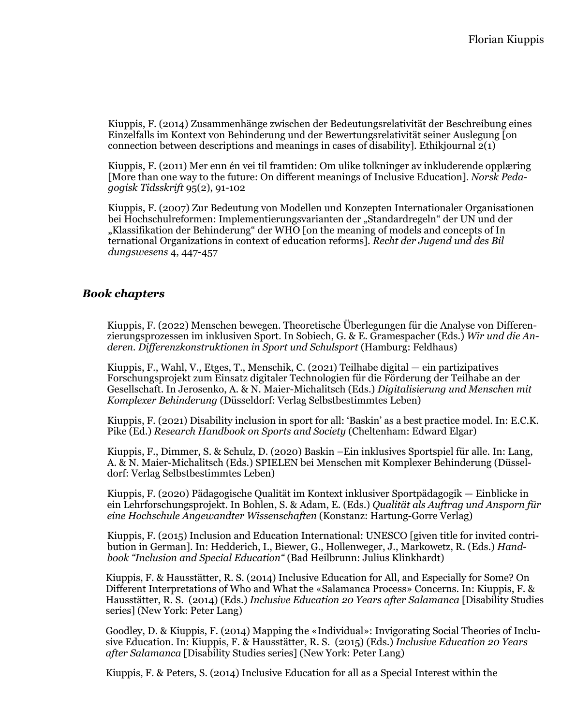Kiuppis, F. (2014) Zusammenhänge zwischen der Bedeutungsrelativität der Beschreibung eines Einzelfalls im Kontext von Behinderung und der Bewertungsrelativität seiner Auslegung [on connection between descriptions and meanings in cases of disability]. Ethikjournal  $2(1)$ 

 Kiuppis, F. (2011) Mer enn én vei til framtiden: Om ulike tolkninger av inkluderende opplæring [More than one way to the future: On different meanings of Inclusive Education]. *Norsk Peda gogisk Tidsskrift* 95(2), 91-102

 Kiuppis, F. (2007) Zur Bedeutung von Modellen und Konzepten Internationaler Organisationen bei Hochschulreformen: Implementierungsvarianten der "Standardregeln" der UN und der "Klassifikation der Behinderung" der WHO [on the meaning of models and concepts of In ternational Organizations in context of education reforms]. *Recht der Jugend und des Bil dungswesens* 4, 447-457

### *Book chapters*

Kiuppis, F. (2022) Menschen bewegen. Theoretische Überlegungen für die Analyse von Differenzierungsprozessen im inklusiven Sport. In Sobiech, G. & E. Gramespacher (Eds.) *Wir und die Anderen. Differenzkonstruktionen in Sport und Schulsport* (Hamburg: Feldhaus)

Kiuppis, F., Wahl, V., Etges, T., Menschik, C. (2021) Teilhabe digital — ein partizipatives Forschungsprojekt zum Einsatz digitaler Technologien für die Förderung der Teilhabe an der Gesellschaft. In Jerosenko, A. & N. Maier-Michalitsch (Eds.) *Digitalisierung und Menschen mit Komplexer Behinderung* (Düsseldorf: Verlag Selbstbestimmtes Leben)

Kiuppis, F. (2021) Disability inclusion in sport for all: 'Baskin' as a best practice model. In: E.C.K. Pike (Ed.) *Research Handbook on Sports and Society* (Cheltenham: Edward Elgar)

Kiuppis, F., Dimmer, S. & Schulz, D. (2020) Baskin –Ein inklusives Sportspiel für alle. In: Lang, A. & N. Maier-Michalitsch (Eds.) SPIELEN bei Menschen mit Komplexer Behinderung (Düsseldorf: Verlag Selbstbestimmtes Leben)

Kiuppis, F. (2020) Pädagogische Qualität im Kontext inklusiver Sportpädagogik — Einblicke in ein Lehrforschungsprojekt. In Bohlen, S. & Adam, E. (Eds.) *Qualität als Auftrag und Ansporn für eine Hochschule Angewandter Wissenschaften* (Konstanz: Hartung-Gorre Verlag)

Kiuppis, F. (2015) Inclusion and Education International: UNESCO [given title for invited contribution in German]. In: Hedderich, I., Biewer, G., Hollenweger, J., Markowetz, R. (Eds.) *Handbook "Inclusion and Special Education"* (Bad Heilbrunn: Julius Klinkhardt)

Kiuppis, F. & Hausstätter, R. S. (2014) Inclusive Education for All, and Especially for Some? On Different Interpretations of Who and What the «Salamanca Process» Concerns. In: Kiuppis, F. & Hausstätter, R. S. (2014) (Eds.) *Inclusive Education 20 Years after Salamanca* [Disability Studies series] (New York: Peter Lang)

Goodley, D. & Kiuppis, F. (2014) Mapping the «Individual»: Invigorating Social Theories of Inclusive Education. In: Kiuppis, F. & Hausstätter, R. S. (2015) (Eds.) *Inclusive Education 20 Years after Salamanca* [Disability Studies series] (New York: Peter Lang)

Kiuppis, F. & Peters, S. (2014) Inclusive Education for all as a Special Interest within the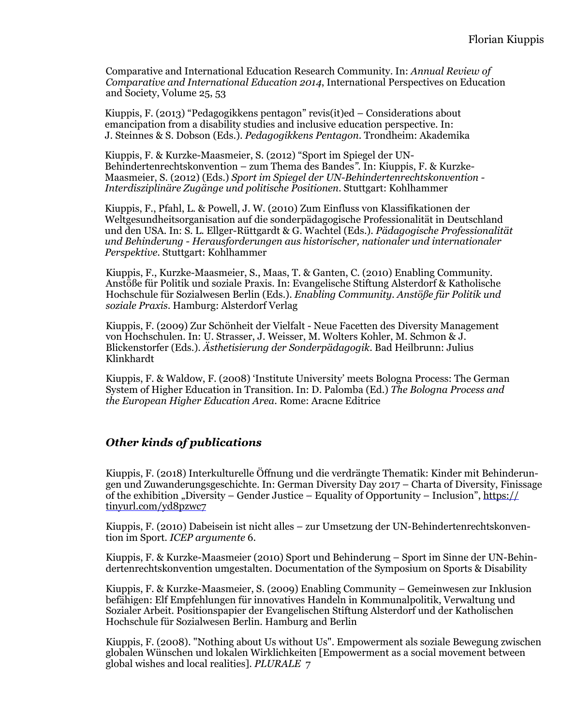Comparative and International Education Research Community. In: *Annual Review of Comparative and International Education 2014*, International Perspectives on Education and Society, Volume 25, 53

Kiuppis, F. (2013) "Pedagogikkens pentagon" revis(it)ed – Considerations about emancipation from a disability studies and inclusive education perspective. In: J. Steinnes & S. Dobson (Eds.). *Pedagogikkens Pentagon*. Trondheim: Akademika

Kiuppis, F. & Kurzke-Maasmeier, S. (2012) "Sport im Spiegel der UN-Behindertenrechtskonvention – zum Thema des Bandes*".* In: Kiuppis, F. & Kurzke-Maasmeier, S. (2012) (Eds.) *Sport im Spiegel der UN-Behindertenrechtskonvention - Interdisziplinäre Zugänge und politische Positionen*. Stuttgart: Kohlhammer

Kiuppis, F., Pfahl, L. & Powell, J. W. (2010) Zum Einfluss von Klassifikationen der Weltgesundheitsorganisation auf die sonderpädagogische Professionalität in Deutschland und den USA. In: S. L. Ellger-Rüttgardt & G. Wachtel (Eds.). *Pädagogische Professionalität und Behinderung - Herausforderungen aus historischer, nationaler und internationaler Perspektive*. Stuttgart: Kohlhammer

Kiuppis, F., Kurzke-Maasmeier, S., Maas, T. & Ganten, C. (2010) Enabling Community. Anstöße für Politik und soziale Praxis. In: Evangelische Stiftung Alsterdorf & Katholische Hochschule für Sozialwesen Berlin (Eds.). *Enabling Community. Anstöße für Politik und soziale Praxis*. Hamburg: Alsterdorf Verlag

Kiuppis, F. (2009) Zur Schönheit der Vielfalt - Neue Facetten des Diversity Management von Hochschulen. In: U. Strasser, J. Weisser, M. Wolters Kohler, M. Schmon & J. Blickenstorfer (Eds.). *Ästhetisierung der Sonderpädagogik*. Bad Heilbrunn: Julius Klinkhardt

Kiuppis, F. & Waldow, F. (2008) 'Institute University' meets Bologna Process: The German System of Higher Education in Transition. In: D. Palomba (Ed.) *The Bologna Process and the European Higher Education Area*. Rome: Aracne Editrice

### *Other kinds of publications*

Kiuppis, F. (2018) Interkulturelle Öffnung und die verdrängte Thematik: Kinder mit Behinderungen und Zuwanderungsgeschichte. In: German Diversity Day 2017 – Charta of Diversity, Finissage of the exhibition "Diversity – Gender Justice – Equality of Opportunity – Inclusion",  $\frac{https://}{https://}$  $\frac{https://}{https://}$  $\frac{https://}{https://}$ [tinyurl.com/yd8pzwc7](https://tinyurl.com/yd8pzwc7)

Kiuppis, F. (2010) Dabeisein ist nicht alles – zur Umsetzung der UN-Behindertenrechtskonvention im Sport. *ICEP argumente* 6.

Kiuppis, F. & Kurzke-Maasmeier (2010) Sport und Behinderung – Sport im Sinne der UN-Behindertenrechtskonvention umgestalten. Documentation of the Symposium on Sports & Disability

Kiuppis, F. & Kurzke-Maasmeier, S. (2009) Enabling Community – Gemeinwesen zur Inklusion befähigen: Elf Empfehlungen für innovatives Handeln in Kommunalpolitik, Verwaltung und Sozialer Arbeit. Positionspapier der Evangelischen Stiftung Alsterdorf und der Katholischen Hochschule für Sozialwesen Berlin. Hamburg and Berlin

Kiuppis, F. (2008). "Nothing about Us without Us". Empowerment als soziale Bewegung zwischen globalen Wünschen und lokalen Wirklichkeiten [Empowerment as a social movement between global wishes and local realities]. *PLURALE* 7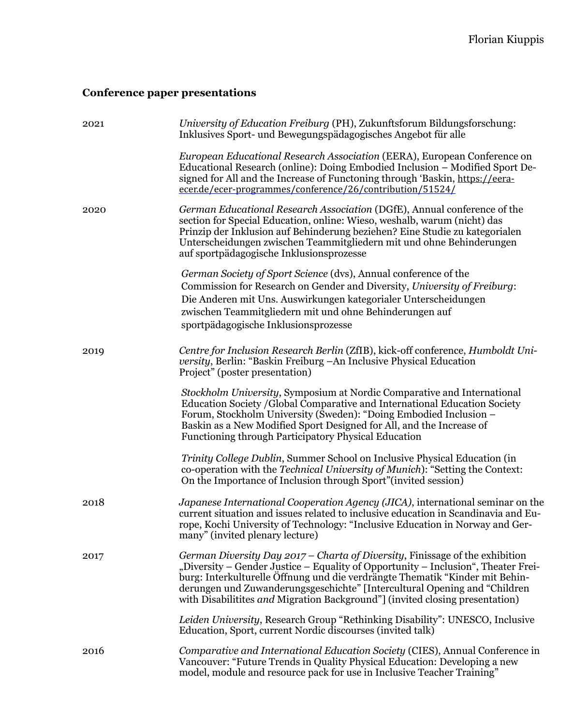# **Conference paper presentations**

| 2021 | University of Education Freiburg (PH), Zukunftsforum Bildungsforschung:<br>Inklusives Sport- und Bewegungspädagogisches Angebot für alle                                                                                                                                                                                                                                                                       |
|------|----------------------------------------------------------------------------------------------------------------------------------------------------------------------------------------------------------------------------------------------------------------------------------------------------------------------------------------------------------------------------------------------------------------|
|      | European Educational Research Association (EERA), European Conference on<br>Educational Research (online): Doing Embodied Inclusion – Modified Sport De-<br>signed for All and the Increase of Functoning through 'Baskin, https://eera-<br>ecer.de/ecer-programmes/conference/26/contribution/51524/                                                                                                          |
| 2020 | German Educational Research Association (DGfE), Annual conference of the<br>section for Special Education, online: Wieso, weshalb, warum (nicht) das<br>Prinzip der Inklusion auf Behinderung beziehen? Eine Studie zu kategorialen<br>Unterscheidungen zwischen Teammitgliedern mit und ohne Behinderungen<br>auf sportpädagogische Inklusionsprozesse                                                        |
|      | German Society of Sport Science (dvs), Annual conference of the<br>Commission for Research on Gender and Diversity, University of Freiburg:<br>Die Anderen mit Uns. Auswirkungen kategorialer Unterscheidungen<br>zwischen Teammitgliedern mit und ohne Behinderungen auf<br>sportpädagogische Inklusionsprozesse                                                                                              |
| 2019 | Centre for Inclusion Research Berlin (ZfIB), kick-off conference, Humboldt Uni-<br>versity, Berlin: "Baskin Freiburg – An Inclusive Physical Education<br>Project" (poster presentation)                                                                                                                                                                                                                       |
|      | Stockholm University, Symposium at Nordic Comparative and International<br>Education Society / Global Comparative and International Education Society<br>Forum, Stockholm University (Sweden): "Doing Embodied Inclusion -<br>Baskin as a New Modified Sport Designed for All, and the Increase of<br>Functioning through Participatory Physical Education                                                     |
|      | <i>Trinity College Dublin, Summer School on Inclusive Physical Education (in</i><br>co-operation with the Technical University of Munich): "Setting the Context:<br>On the Importance of Inclusion through Sport" (invited session)                                                                                                                                                                            |
| 2018 | Japanese International Cooperation Agency (JICA), international seminar on the<br>current situation and issues related to inclusive education in Scandinavia and Eu-<br>rope, Kochi University of Technology: "Inclusive Education in Norway and Ger-<br>many" (invited plenary lecture)                                                                                                                       |
| 2017 | German Diversity Day 2017 – Charta of Diversity, Finissage of the exhibition<br>"Diversity – Gender Justice – Equality of Opportunity – Inclusion", Theater Frei-<br>burg: Interkulturelle Öffnung und die verdrängte Thematik "Kinder mit Behin-<br>derungen und Zuwanderungsgeschichte" [Intercultural Opening and "Children<br>with Disabilitites and Migration Background"] (invited closing presentation) |
|      | Leiden University, Research Group "Rethinking Disability": UNESCO, Inclusive<br>Education, Sport, current Nordic discourses (invited talk)                                                                                                                                                                                                                                                                     |
| 2016 | Comparative and International Education Society (CIES), Annual Conference in<br>Vancouver: "Future Trends in Quality Physical Education: Developing a new<br>model, module and resource pack for use in Inclusive Teacher Training"                                                                                                                                                                            |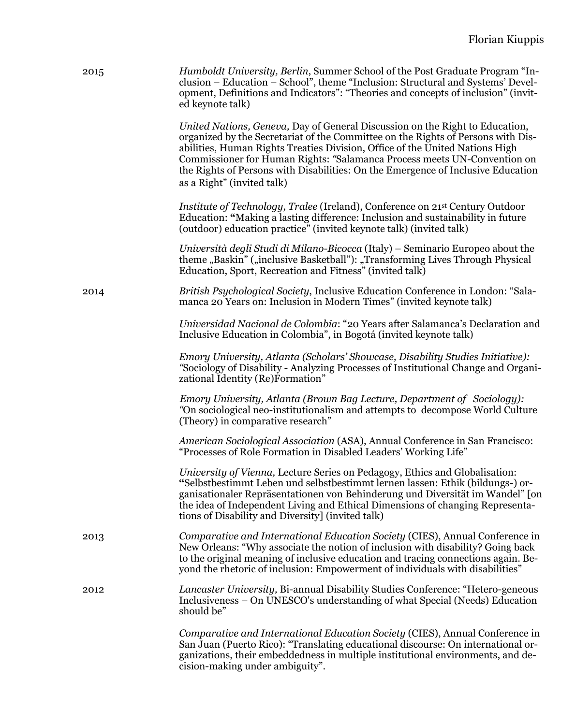| 2015 | <i>Humboldt University, Berlin, Summer School of the Post Graduate Program</i> "In-<br>clusion – Education – School", theme "Inclusion: Structural and Systems' Devel-<br>opment, Definitions and Indicators": "Theories and concepts of inclusion" (invit-<br>ed keynote talk)                                                                                                                                                                |
|------|------------------------------------------------------------------------------------------------------------------------------------------------------------------------------------------------------------------------------------------------------------------------------------------------------------------------------------------------------------------------------------------------------------------------------------------------|
|      | United Nations, Geneva, Day of General Discussion on the Right to Education,<br>organized by the Secretariat of the Committee on the Rights of Persons with Dis-<br>abilities, Human Rights Treaties Division, Office of the United Nations High<br>Commissioner for Human Rights: "Salamanca Process meets UN-Convention on<br>the Rights of Persons with Disabilities: On the Emergence of Inclusive Education<br>as a Right" (invited talk) |
|      | Institute of Technology, Tralee (Ireland), Conference on 21st Century Outdoor<br>Education: "Making a lasting difference: Inclusion and sustainability in future<br>(outdoor) education practice" (invited keynote talk) (invited talk)                                                                                                                                                                                                        |
|      | Università degli Studi di Milano-Bicocca (Italy) – Seminario Europeo about the<br>theme "Baskin" ("inclusive Basketball"): "Transforming Lives Through Physical<br>Education, Sport, Recreation and Fitness" (invited talk)                                                                                                                                                                                                                    |
| 2014 | British Psychological Society, Inclusive Education Conference in London: "Sala-<br>manca 20 Years on: Inclusion in Modern Times" (invited keynote talk)                                                                                                                                                                                                                                                                                        |
|      | Universidad Nacional de Colombia: "20 Years after Salamanca's Declaration and<br>Inclusive Education in Colombia", in Bogotá (invited keynote talk)                                                                                                                                                                                                                                                                                            |
|      | Emory University, Atlanta (Scholars' Showcase, Disability Studies Initiative):<br>"Sociology of Disability - Analyzing Processes of Institutional Change and Organi-<br>zational Identity (Re)Formation"                                                                                                                                                                                                                                       |
|      | Emory University, Atlanta (Brown Bag Lecture, Department of Sociology):<br>"On sociological neo-institutionalism and attempts to decompose World Culture<br>(Theory) in comparative research"                                                                                                                                                                                                                                                  |
|      | American Sociological Association (ASA), Annual Conference in San Francisco:<br>"Processes of Role Formation in Disabled Leaders' Working Life"                                                                                                                                                                                                                                                                                                |
|      | University of Vienna, Lecture Series on Pedagogy, Ethics and Globalisation:<br>"Selbstbestimmt Leben und selbstbestimmt lernen lassen: Ethik (bildungs-) or-<br>ganisationaler Repräsentationen von Behinderung und Diversität im Wandel" [on<br>the idea of Independent Living and Ethical Dimensions of changing Representa-<br>tions of Disability and Diversity] (invited talk)                                                            |
| 2013 | Comparative and International Education Society (CIES), Annual Conference in<br>New Orleans: "Why associate the notion of inclusion with disability? Going back<br>to the original meaning of inclusive education and tracing connections again. Be-<br>yond the rhetoric of inclusion: Empowerment of individuals with disabilities"                                                                                                          |
| 2012 | Lancaster University, Bi-annual Disability Studies Conference: "Hetero-geneous<br>Inclusiveness – On UNESCO's understanding of what Special (Needs) Education<br>should be"                                                                                                                                                                                                                                                                    |
|      | Comparative and International Education Society (CIES), Annual Conference in<br>San Juan (Puerto Rico): "Translating educational discourse: On international or-<br>ganizations, their embeddedness in multiple institutional environments, and de-<br>cision-making under ambiguity".                                                                                                                                                         |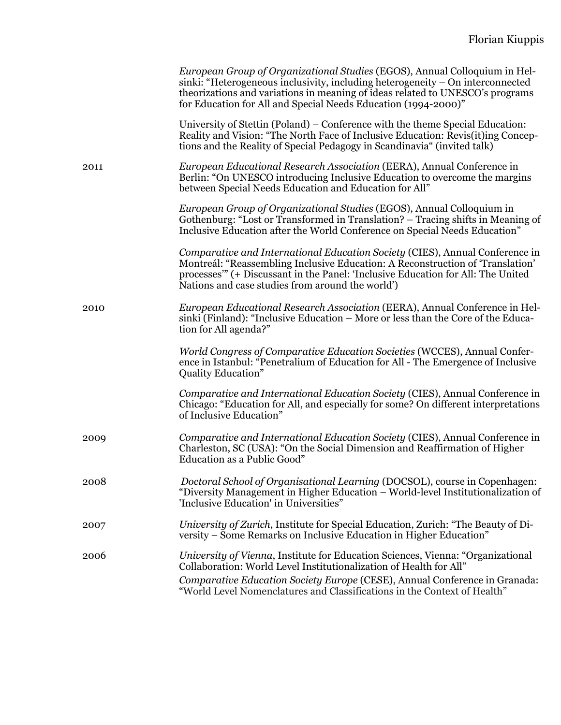|      | European Group of Organizational Studies (EGOS), Annual Colloquium in Hel-<br>sinki: "Heterogeneous inclusivity, including heterogeneity – On interconnected<br>theorizations and variations in meaning of ideas related to UNESCO's programs<br>for Education for All and Special Needs Education (1994-2000)" |
|------|-----------------------------------------------------------------------------------------------------------------------------------------------------------------------------------------------------------------------------------------------------------------------------------------------------------------|
|      | University of Stettin (Poland) – Conference with the theme Special Education:<br>Reality and Vision: "The North Face of Inclusive Education: Revis(it)ing Concep-<br>tions and the Reality of Special Pedagogy in Scandinavia" (invited talk)                                                                   |
| 2011 | European Educational Research Association (EERA), Annual Conference in<br>Berlin: "On UNESCO introducing Inclusive Education to overcome the margins<br>between Special Needs Education and Education for All"                                                                                                  |
|      | European Group of Organizational Studies (EGOS), Annual Colloquium in<br>Gothenburg: "Lost or Transformed in Translation? – Tracing shifts in Meaning of<br>Inclusive Education after the World Conference on Special Needs Education"                                                                          |
|      | Comparative and International Education Society (CIES), Annual Conference in<br>Montreál: "Reassembling Inclusive Education: A Reconstruction of "Translation"<br>processes" (+ Discussant in the Panel: 'Inclusive Education for All: The United<br>Nations and case studies from around the world')           |
| 2010 | European Educational Research Association (EERA), Annual Conference in Hel-<br>sinki (Finland): "Inclusive Education – More or less than the Core of the Educa-<br>tion for All agenda?"                                                                                                                        |
|      | World Congress of Comparative Education Societies (WCCES), Annual Confer-<br>ence in Istanbul: "Penetralium of Education for All - The Emergence of Inclusive<br><b>Quality Education"</b>                                                                                                                      |
|      | Comparative and International Education Society (CIES), Annual Conference in<br>Chicago: "Education for All, and especially for some? On different interpretations<br>of Inclusive Education"                                                                                                                   |
| 2009 | Comparative and International Education Society (CIES), Annual Conference in<br>Charleston, SC (USA): "On the Social Dimension and Reaffirmation of Higher<br>Education as a Public Good"                                                                                                                       |
| 2008 | Doctoral School of Organisational Learning (DOCSOL), course in Copenhagen:<br>"Diversity Management in Higher Education – World-level Institutionalization of<br>'Inclusive Education' in Universities"                                                                                                         |
| 2007 | University of Zurich, Institute for Special Education, Zurich: "The Beauty of Di-<br>versity – Some Remarks on Inclusive Education in Higher Education"                                                                                                                                                         |
| 2006 | University of Vienna, Institute for Education Sciences, Vienna: "Organizational<br>Collaboration: World Level Institutionalization of Health for All"<br>Comparative Education Society Europe (CESE), Annual Conference in Granada:<br>"World Level Nomenclatures and Classifications in the Context of Health" |